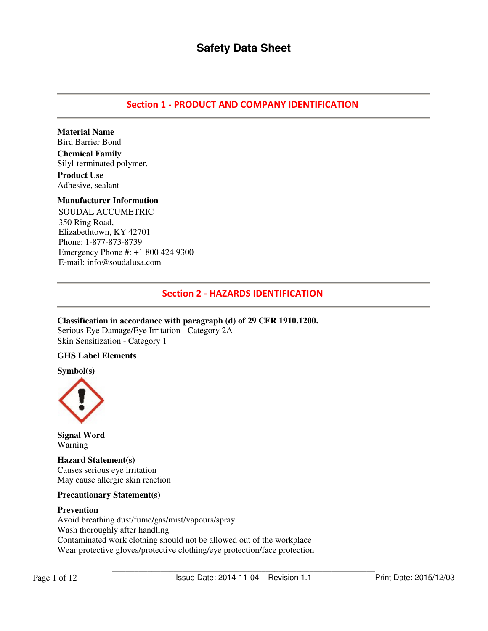## Section 1 - PRODUCT AND COMPANY IDENTIFICATION

**Material Name**  Bird Barrier Bond

**Chemical Family**  Silyl-terminated polymer. **Product Use**  Adhesive, sealant

### **Manufacturer Information**

SOUDAL ACCUMETRIC 350 Ring Road, Elizabethtown, KY 42701 Phone: 1-877-873-8739 Emergency Phone #: +1 800 424 9300 E-mail: info@soudalusa.com

## Section 2 - HAZARDS IDENTIFICATION

**Classification in accordance with paragraph (d) of 29 CFR 1910.1200.** 

Serious Eye Damage/Eye Irritation - Category 2A Skin Sensitization - Category 1

### **GHS Label Elements**

**Symbol(s)** 



**Signal Word**  Warning

**Hazard Statement(s)**  Causes serious eye irritation May cause allergic skin reaction

#### **Precautionary Statement(s)**

#### **Prevention**

Avoid breathing dust/fume/gas/mist/vapours/spray Wash thoroughly after handling Contaminated work clothing should not be allowed out of the workplace Wear protective gloves/protective clothing/eye protection/face protection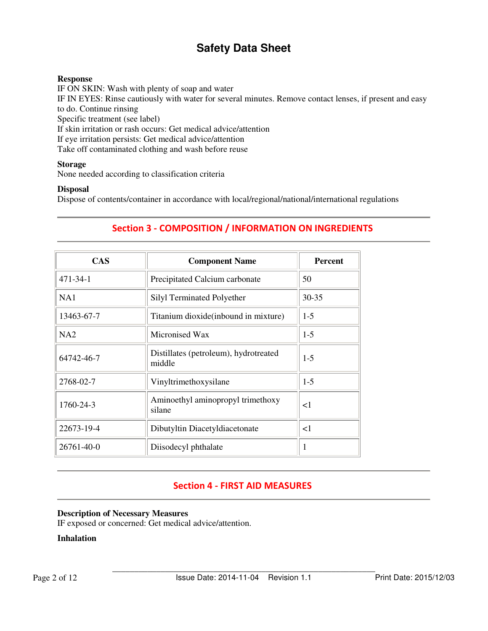## **Response**

IF ON SKIN: Wash with plenty of soap and water IF IN EYES: Rinse cautiously with water for several minutes. Remove contact lenses, if present and easy to do. Continue rinsing Specific treatment (see label) If skin irritation or rash occurs: Get medical advice/attention If eye irritation persists: Get medical advice/attention Take off contaminated clothing and wash before reuse

### **Storage**

None needed according to classification criteria

## **Disposal**

Dispose of contents/container in accordance with local/regional/national/international regulations

| <b>CAS</b> | <b>Component Name</b>                           | <b>Percent</b> |
|------------|-------------------------------------------------|----------------|
| 471-34-1   | Precipitated Calcium carbonate                  | 50             |
| NA1        | Silyl Terminated Polyether                      | $30 - 35$      |
| 13463-67-7 | Titanium dioxide (inbound in mixture)           | $1-5$          |
| NA2        | Micronised Wax                                  | $1-5$          |
| 64742-46-7 | Distillates (petroleum), hydrotreated<br>middle | $1-5$          |
| 2768-02-7  | Vinyltrimethoxysilane                           | $1-5$          |
| 1760-24-3  | Aminoethyl aminopropyl trimethoxy<br>silane     | <1             |
| 22673-19-4 | Dibutyltin Diacetyldiacetonate                  | $\leq$ 1       |
| 26761-40-0 | Diisodecyl phthalate                            | 1              |

## Section 3 - COMPOSITION / INFORMATION ON INGREDIENTS

## Section 4 - FIRST AID MEASURES

### **Description of Necessary Measures**

IF exposed or concerned: Get medical advice/attention.

## **Inhalation**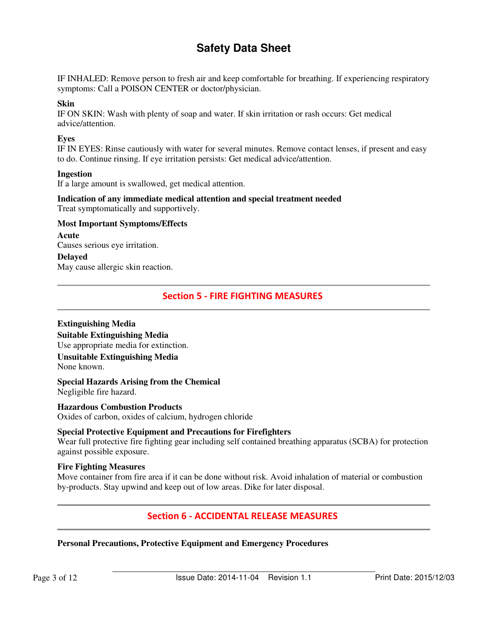IF INHALED: Remove person to fresh air and keep comfortable for breathing. If experiencing respiratory symptoms: Call a POISON CENTER or doctor/physician.

#### **Skin**

IF ON SKIN: Wash with plenty of soap and water. If skin irritation or rash occurs: Get medical advice/attention.

### **Eyes**

IF IN EYES: Rinse cautiously with water for several minutes. Remove contact lenses, if present and easy to do. Continue rinsing. If eye irritation persists: Get medical advice/attention.

#### **Ingestion**

If a large amount is swallowed, get medical attention.

#### **Indication of any immediate medical attention and special treatment needed**  Treat symptomatically and supportively.

## **Most Important Symptoms/Effects**

#### **Acute**

Causes serious eye irritation.

## **Delayed**

May cause allergic skin reaction.

## Section 5 - FIRE FIGHTING MEASURES

### **Extinguishing Media**

**Suitable Extinguishing Media**  Use appropriate media for extinction.

#### **Unsuitable Extinguishing Media**  None known.

**Special Hazards Arising from the Chemical**  Negligible fire hazard.

### **Hazardous Combustion Products**

Oxides of carbon, oxides of calcium, hydrogen chloride

### **Special Protective Equipment and Precautions for Firefighters**

Wear full protective fire fighting gear including self contained breathing apparatus (SCBA) for protection against possible exposure.

#### **Fire Fighting Measures**

Move container from fire area if it can be done without risk. Avoid inhalation of material or combustion by-products. Stay upwind and keep out of low areas. Dike for later disposal.

## Section 6 - ACCIDENTAL RELEASE MEASURES

## **Personal Precautions, Protective Equipment and Emergency Procedures**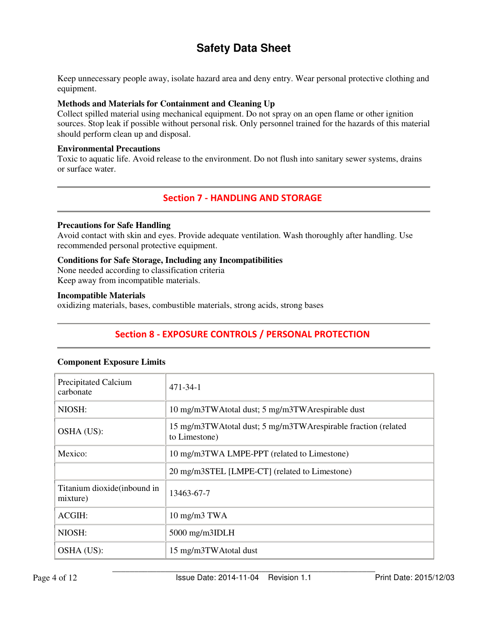Keep unnecessary people away, isolate hazard area and deny entry. Wear personal protective clothing and equipment.

## **Methods and Materials for Containment and Cleaning Up**

Collect spilled material using mechanical equipment. Do not spray on an open flame or other ignition sources. Stop leak if possible without personal risk. Only personnel trained for the hazards of this material should perform clean up and disposal.

### **Environmental Precautions**

Toxic to aquatic life. Avoid release to the environment. Do not flush into sanitary sewer systems, drains or surface water.

## Section 7 - HANDLING AND STORAGE

### **Precautions for Safe Handling**

Avoid contact with skin and eyes. Provide adequate ventilation. Wash thoroughly after handling. Use recommended personal protective equipment.

## **Conditions for Safe Storage, Including any Incompatibilities**

None needed according to classification criteria

Keep away from incompatible materials.

## **Incompatible Materials**

oxidizing materials, bases, combustible materials, strong acids, strong bases

## Section 8 - EXPOSURE CONTROLS / PERSONAL PROTECTION

|  | <b>Component Exposure Limits</b> |
|--|----------------------------------|
|--|----------------------------------|

| <b>Precipitated Calcium</b><br>carbonate | $471 - 34 - 1$                                                                 |
|------------------------------------------|--------------------------------------------------------------------------------|
| NIOSH:                                   | 10 mg/m3TWAtotal dust; 5 mg/m3TWArespirable dust                               |
| OSHA (US):                               | 15 mg/m3TWAtotal dust; 5 mg/m3TWArespirable fraction (related<br>to Limestone) |
| Mexico:                                  | 10 mg/m3TWA LMPE-PPT (related to Limestone)                                    |
|                                          | 20 mg/m3STEL [LMPE-CT] (related to Limestone)                                  |
| Titanium dioxide (inbound in<br>mixture) | 13463-67-7                                                                     |
| ACGIH:                                   | $10 \text{ mg/m}$ $3 \text{ TWA}$                                              |
| NIOSH:                                   | $5000$ mg/m $3$ IDLH                                                           |
| OSHA (US):                               | 15 mg/m3TWAtotal dust                                                          |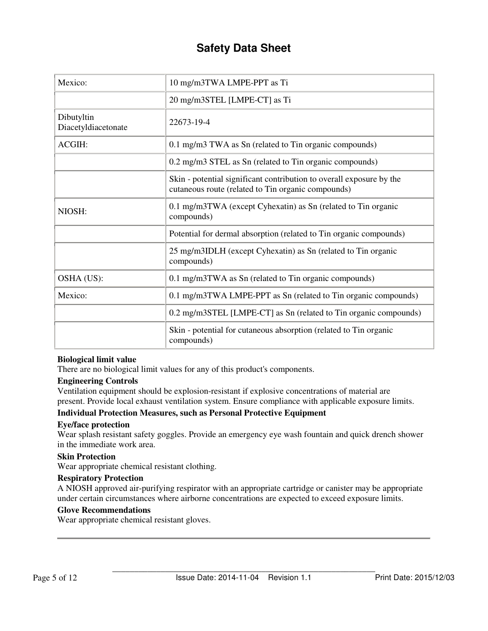| Mexico:                           | 10 mg/m3TWA LMPE-PPT as Ti                                                                                                 |
|-----------------------------------|----------------------------------------------------------------------------------------------------------------------------|
|                                   | 20 mg/m3STEL [LMPE-CT] as Ti                                                                                               |
| Dibutyltin<br>Diacetyldiacetonate | 22673-19-4                                                                                                                 |
| <b>ACGIH:</b>                     | 0.1 mg/m3 TWA as Sn (related to Tin organic compounds)                                                                     |
|                                   | 0.2 mg/m3 STEL as Sn (related to Tin organic compounds)                                                                    |
|                                   | Skin - potential significant contribution to overall exposure by the<br>cutaneous route (related to Tin organic compounds) |
| NIOSH:                            | 0.1 mg/m3TWA (except Cyhexatin) as Sn (related to Tin organic<br>compounds)                                                |
|                                   | Potential for dermal absorption (related to Tin organic compounds)                                                         |
|                                   | 25 mg/m3IDLH (except Cyhexatin) as Sn (related to Tin organic<br>compounds)                                                |
| OSHA (US):                        | 0.1 mg/m3TWA as Sn (related to Tin organic compounds)                                                                      |
| Mexico:                           | 0.1 mg/m3TWA LMPE-PPT as Sn (related to Tin organic compounds)                                                             |
|                                   | 0.2 mg/m3STEL [LMPE-CT] as Sn (related to Tin organic compounds)                                                           |
|                                   | Skin - potential for cutaneous absorption (related to Tin organic<br>compounds)                                            |

### **Biological limit value**

There are no biological limit values for any of this product's components.

## **Engineering Controls**

Ventilation equipment should be explosion-resistant if explosive concentrations of material are present. Provide local exhaust ventilation system. Ensure compliance with applicable exposure limits.

### **Individual Protection Measures, such as Personal Protective Equipment**

### **Eye/face protection**

Wear splash resistant safety goggles. Provide an emergency eye wash fountain and quick drench shower in the immediate work area.

#### **Skin Protection**

Wear appropriate chemical resistant clothing.

#### **Respiratory Protection**

A NIOSH approved air-purifying respirator with an appropriate cartridge or canister may be appropriate under certain circumstances where airborne concentrations are expected to exceed exposure limits.

## **Glove Recommendations**

Wear appropriate chemical resistant gloves.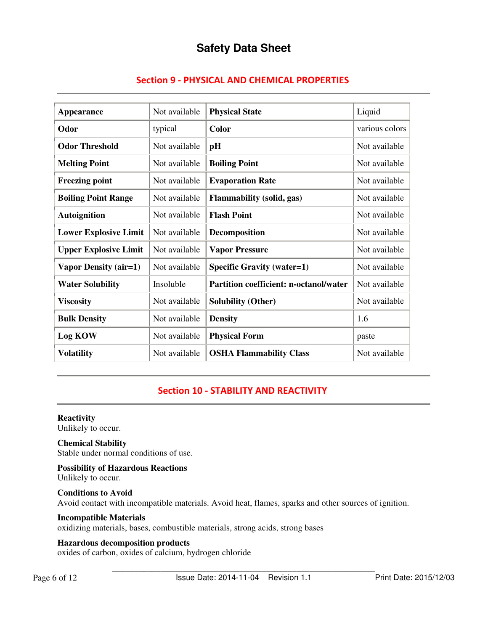|  |  |  |  | <b>Section 9 - PHYSICAL AND CHEMICAL PROPERTIES</b> |
|--|--|--|--|-----------------------------------------------------|
|--|--|--|--|-----------------------------------------------------|

| Appearance                   | Not available | <b>Physical State</b>                         | Liquid         |
|------------------------------|---------------|-----------------------------------------------|----------------|
| Odor                         | typical       | <b>Color</b>                                  | various colors |
| <b>Odor Threshold</b>        | Not available | pH                                            | Not available  |
| <b>Melting Point</b>         | Not available | <b>Boiling Point</b>                          | Not available  |
| <b>Freezing point</b>        | Not available | <b>Evaporation Rate</b>                       | Not available  |
| <b>Boiling Point Range</b>   | Not available | <b>Flammability</b> (solid, gas)              | Not available  |
| <b>Autoignition</b>          | Not available | <b>Flash Point</b>                            | Not available  |
| <b>Lower Explosive Limit</b> | Not available | <b>Decomposition</b>                          | Not available  |
| <b>Upper Explosive Limit</b> | Not available | <b>Vapor Pressure</b>                         | Not available  |
| Vapor Density (air=1)        | Not available | <b>Specific Gravity (water=1)</b>             | Not available  |
| <b>Water Solubility</b>      | Insoluble     | <b>Partition coefficient: n-octanol/water</b> | Not available  |
| <b>Viscosity</b>             | Not available | <b>Solubility (Other)</b>                     | Not available  |
| <b>Bulk Density</b>          | Not available | <b>Density</b>                                | 1.6            |
| <b>Log KOW</b>               | Not available | <b>Physical Form</b>                          | paste          |
| <b>Volatility</b>            | Not available | <b>OSHA Flammability Class</b>                | Not available  |

## Section 10 - STABILITY AND REACTIVITY

**Reactivity**  Unlikely to occur.

**Chemical Stability** 

Stable under normal conditions of use.

**Possibility of Hazardous Reactions** 

Unlikely to occur.

**Conditions to Avoid**  Avoid contact with incompatible materials. Avoid heat, flames, sparks and other sources of ignition.

### **Incompatible Materials**

oxidizing materials, bases, combustible materials, strong acids, strong bases

### **Hazardous decomposition products**

oxides of carbon, oxides of calcium, hydrogen chloride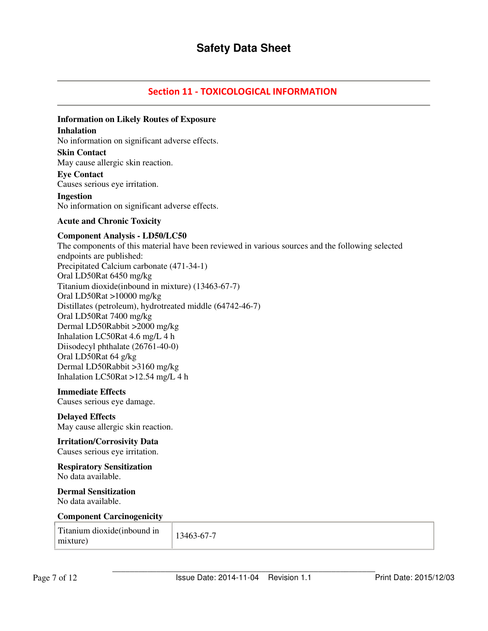## Section 11 - TOXICOLOGICAL INFORMATION

## **Information on Likely Routes of Exposure**

#### **Inhalation**

No information on significant adverse effects.

#### **Skin Contact**

May cause allergic skin reaction.

## **Eye Contact**

Causes serious eye irritation.

## **Ingestion**

No information on significant adverse effects.

### **Acute and Chronic Toxicity**

#### **Component Analysis - LD50/LC50**

The components of this material have been reviewed in various sources and the following selected endpoints are published: Precipitated Calcium carbonate (471-34-1) Oral LD50Rat 6450 mg/kg Titanium dioxide(inbound in mixture) (13463-67-7) Oral LD50Rat >10000 mg/kg Distillates (petroleum), hydrotreated middle (64742-46-7) Oral LD50Rat 7400 mg/kg Dermal LD50Rabbit >2000 mg/kg Inhalation LC50Rat 4.6 mg/L 4 h Diisodecyl phthalate (26761-40-0) Oral LD50Rat 64 g/kg Dermal LD50Rabbit >3160 mg/kg Inhalation LC50Rat >12.54 mg/L 4 h

#### **Immediate Effects**

Causes serious eye damage.

### **Delayed Effects**

May cause allergic skin reaction.

## **Irritation/Corrosivity Data**

Causes serious eye irritation.

#### **Respiratory Sensitization**  No data available.

## **Dermal Sensitization**

No data available.

#### **Component Carcinogenicity**

| Titanium dioxide (inbound in<br>mixture) | 13463-67-7 |  |
|------------------------------------------|------------|--|
|------------------------------------------|------------|--|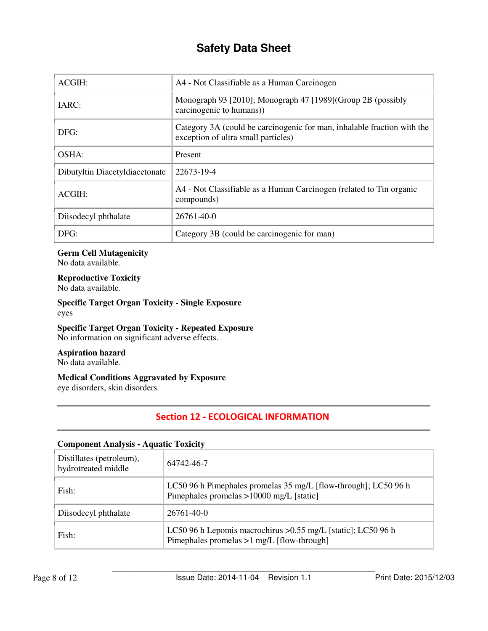| ACGIH:                         | A4 - Not Classifiable as a Human Carcinogen                                                                    |
|--------------------------------|----------------------------------------------------------------------------------------------------------------|
| IARC:                          | Monograph 93 [2010]; Monograph 47 [1989] (Group 2B (possibly<br>carcinogenic to humans)                        |
| DFG:                           | Category 3A (could be carcinogenic for man, inhalable fraction with the<br>exception of ultra small particles) |
| OSHA:                          | Present                                                                                                        |
| Dibutyltin Diacetyldiacetonate | 22673-19-4                                                                                                     |
| ACGIH:                         | A4 - Not Classifiable as a Human Carcinogen (related to Tin organic<br>compounds)                              |
| Diisodecyl phthalate           | $26761 - 40 - 0$                                                                                               |
| DFG:                           | Category 3B (could be carcinogenic for man)                                                                    |

## **Germ Cell Mutagenicity**

No data available.

## **Reproductive Toxicity**

No data available.

### **Specific Target Organ Toxicity - Single Exposure**  eyes

## **Specific Target Organ Toxicity - Repeated Exposure**

No information on significant adverse effects.

## **Aspiration hazard**

No data available.

## **Medical Conditions Aggravated by Exposure**

eye disorders, skin disorders

## Section 12 - ECOLOGICAL INFORMATION

## **Component Analysis - Aquatic Toxicity**

| Distillates (petroleum),<br>hydrotreated middle | 64742-46-7                                                                                                    |
|-------------------------------------------------|---------------------------------------------------------------------------------------------------------------|
| Fish:                                           | LC50 96 h Pimephales promelas 35 mg/L [flow-through]; LC50 96 h<br>Pimephales promelas >10000 mg/L [static]   |
| Diisodecyl phthalate                            | $26761 - 40 - 0$                                                                                              |
| Fish:                                           | LC50 96 h Lepomis macrochirus > 0.55 mg/L [static]; LC50 96 h<br>Pimephales promelas $>1$ mg/L [flow-through] |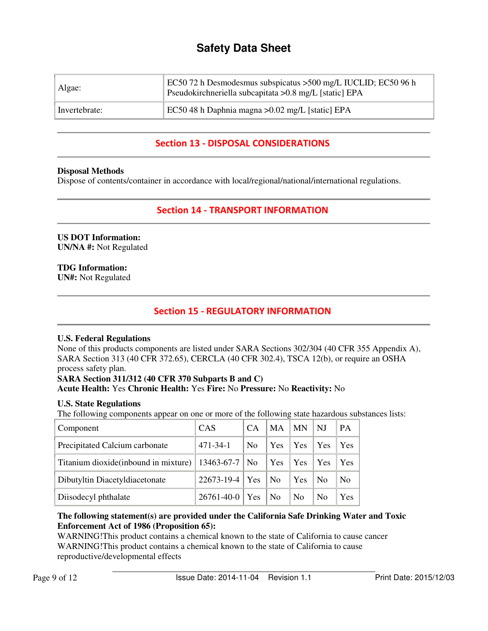| Algae:        | EC50 72 h Desmodesmus subspicatus > 500 mg/L IUCLID; EC50 96 h<br>Pseudokirchneriella subcapitata > 0.8 mg/L [static] EPA |
|---------------|---------------------------------------------------------------------------------------------------------------------------|
| Invertebrate: | EC50 48 h Daphnia magna > 0.02 mg/L [static] EPA                                                                          |

## Section 13 - DISPOSAL CONSIDERATIONS

## **Disposal Methods**

Dispose of contents/container in accordance with local/regional/national/international regulations.

## Section 14 - TRANSPORT INFORMATION

#### **US DOT Information: UN/NA #:** Not Regulated

## **TDG Information:**

**UN#:** Not Regulated

## Section 15 - REGULATORY INFORMATION

## **U.S. Federal Regulations**

None of this products components are listed under SARA Sections 302/304 (40 CFR 355 Appendix A), SARA Section 313 (40 CFR 372.65), CERCLA (40 CFR 302.4), TSCA 12(b), or require an OSHA process safety plan.

# **SARA Section 311/312 (40 CFR 370 Subparts B and C)**

**Acute Health:** Yes **Chronic Health:** Yes **Fire:** No **Pressure:** No **Reactivity:** No

## **U.S. State Regulations**

The following components appear on one or more of the following state hazardous substances lists:

| Component                             | <b>CAS</b>       | CA             | <b>MA</b>      | <b>MN</b>      | NJ             | PA             |
|---------------------------------------|------------------|----------------|----------------|----------------|----------------|----------------|
| Precipitated Calcium carbonate        | $471 - 34 - 1$   | N <sub>0</sub> | Yes            | Yes            | Yes            | Yes            |
| Titanium dioxide (inbound in mixture) | $13463-67-7$ No  |                | Yes            | Yes            | Yes            | Yes            |
| Dibutyltin Diacetyldiacetonate        | 22673-19-4   Yes |                | <b>No</b>      | Yes            | N <sub>0</sub> | N <sub>0</sub> |
| Diisodecyl phthalate                  | 26761-40-0   Yes |                | N <sub>0</sub> | N <sub>o</sub> | N <sub>0</sub> | Yes            |

### **The following statement(s) are provided under the California Safe Drinking Water and Toxic Enforcement Act of 1986 (Proposition 65):**

WARNING! This product contains a chemical known to the state of California to cause cancer WARNING!This product contains a chemical known to the state of California to cause reproductive/developmental effects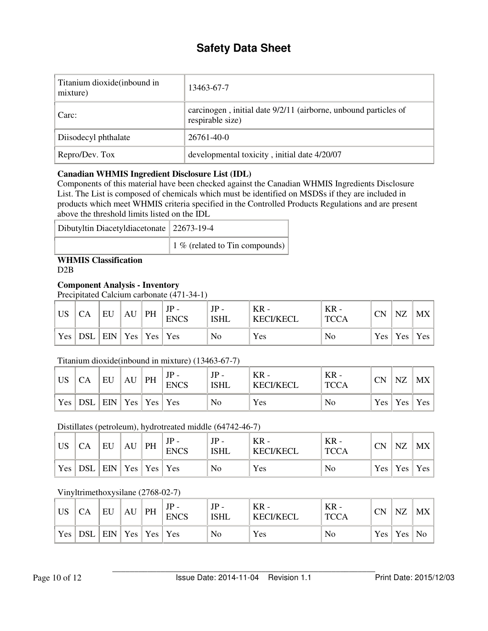| Titanium dioxide (inbound in<br>mixture) | 13463-67-7                                                                          |
|------------------------------------------|-------------------------------------------------------------------------------------|
| Carc:                                    | carcinogen, initial date 9/2/11 (airborne, unbound particles of<br>respirable size) |
| Diisodecyl phthalate                     | $26761 - 40 - 0$                                                                    |
| Repro/Dev. Tox                           | developmental toxicity, initial date 4/20/07                                        |

## **Canadian WHMIS Ingredient Disclosure List (IDL)**

Components of this material have been checked against the Canadian WHMIS Ingredients Disclosure List. The List is composed of chemicals which must be identified on MSDSs if they are included in products which meet WHMIS criteria specified in the Controlled Products Regulations and are present above the threshold limits listed on the IDL

| Dibutyltin Diacetyldiacetonate   22673-19-4 |                                        |
|---------------------------------------------|----------------------------------------|
|                                             | 1 % (related to Tin compounds) $\vert$ |

## **WHMIS Classification**

D<sub>2</sub>B

## **Component Analysis - Inventory**

Precipitated Calcium carbonate (471-34-1)

| <b>US</b> |                                                             | EU | AU | PH | JP<br><b>ENCS</b> | JP<br><b>ISHL</b> | $KR -$<br><b>KECI/KECL</b> | $KR -$<br><b>TCCA</b> | <b>CN</b> | NZ                      | MX |
|-----------|-------------------------------------------------------------|----|----|----|-------------------|-------------------|----------------------------|-----------------------|-----------|-------------------------|----|
| Yes       | $\vert$ DSL $\vert$ EIN $\vert$ Yes $\vert$ Yes $\vert$ Yes |    |    |    |                   | No                | Yes                        | No                    |           | $Yes \mid Yes \mid Yes$ |    |

## Titanium dioxide(inbound in mixture) (13463-67-7)

| <b>US</b>        |                             | EU | AU | PH | $JP -$<br><b>ENCS</b> | <b>ISHL</b> | $KR -$<br><b>KECI/KECL</b> | $KR -$<br><b>TCCA</b> | <b>CN</b> | NZ | MX              |
|------------------|-----------------------------|----|----|----|-----------------------|-------------|----------------------------|-----------------------|-----------|----|-----------------|
| Yes <sub>1</sub> | DSL   EIN   Yes   Yes   Yes |    |    |    |                       | No          | Yes                        | No                    |           |    | Yes   Yes   Yes |

## Distillates (petroleum), hydrotreated middle (64742-46-7)

| <b>US</b>  | СA                          | EU | AU | ' PH | ΙD<br><b>ENCS</b> | <b>ISHL</b> | $KR -$<br><b>KECI/KECL</b> | KR -<br><b>TCCA</b> | CN | NZ                  | MX  |
|------------|-----------------------------|----|----|------|-------------------|-------------|----------------------------|---------------------|----|---------------------|-----|
| $Yes \mid$ | DSL   EIN   Yes   Yes   Yes |    |    |      |                   | No          | Yes                        | No                  |    | $Yes \mid Yes \mid$ | Yes |

## Vinyltrimethoxysilane (2768-02-7)

| <b>US</b> |                             | EU | AU | PH | JP<br><b>ENCS</b> | JP<br><b>ISHL</b> | $KR -$<br><b>KECI/KECL</b> | $KR -$<br><b>TCCA</b> | <b>CN</b> | <b>NZ</b>              | MX |
|-----------|-----------------------------|----|----|----|-------------------|-------------------|----------------------------|-----------------------|-----------|------------------------|----|
| Yes,      | DSL   EIN   Yes   Yes   Yes |    |    |    |                   | No                | Yes                        | N <sub>0</sub>        |           | $Yes \mid Yes \mid No$ |    |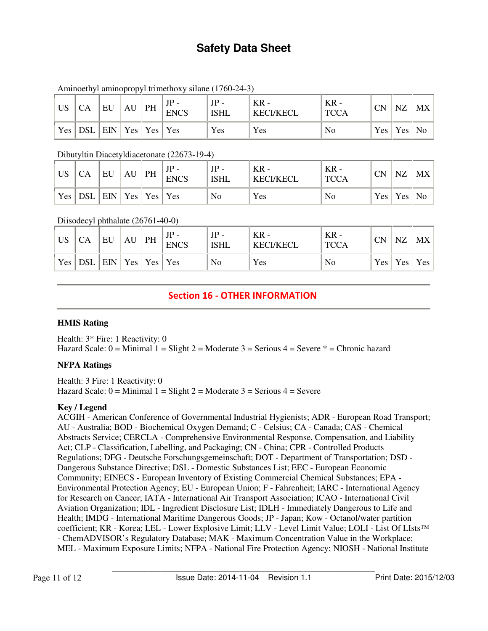| <b>US</b> | CA  | EU                    | $AU$   PH | $JP -$<br><b>ENCS</b> | $JP -$<br><b>ISHL</b> | $KR -$<br><b>KECI/KECL</b> | $KR -$<br><b>TCCA</b> | <b>CN</b> | NZ        | MX   |
|-----------|-----|-----------------------|-----------|-----------------------|-----------------------|----------------------------|-----------------------|-----------|-----------|------|
| Yes       | DSL | EIN   Yes   Yes   Yes |           |                       | Yes                   | Yes                        | No                    |           | Yes   Yes | ' No |

## Aminoethyl aminopropyl trimethoxy silane (1760-24-3)

Dibutyltin Diacetyldiacetonate (22673-19-4)

| <b>US</b> |                                        | EU | AU | PH | JP<br><b>ENCS</b> | $JP -$<br><b>ISHL</b> | $KR -$<br><b>KECI/KECL</b> | $KR -$<br><b>TCCA</b> | <b>CN</b> | <b>NZ</b>              | MX |
|-----------|----------------------------------------|----|----|----|-------------------|-----------------------|----------------------------|-----------------------|-----------|------------------------|----|
| Yes       | $\mathsf{DSL}$   EIN   Yes   Yes   Yes |    |    |    |                   | No                    | Yes                        | N <sub>0</sub>        |           | $Yes \mid Yes \mid No$ |    |

## Diisodecyl phthalate (26761-40-0)

| <b>US</b>  |                                       | EU | AU | PH | $JP -$<br><b>ENCS</b> | <b>ISHL</b> | $KR -$<br><b>KECI/KECL</b> | $KR -$<br><b>TCCA</b> | <b>CN</b> | NZ                      | MX |
|------------|---------------------------------------|----|----|----|-----------------------|-------------|----------------------------|-----------------------|-----------|-------------------------|----|
| $Yes \mid$ | $DSL$   $EIN$   $Yes$   $Yes$   $Yes$ |    |    |    |                       | No          | Yes                        | No                    |           | $Yes \mid Yes \mid Yes$ |    |

## Section 16 - OTHER INFORMATION

## **HMIS Rating**

Health: 3\* Fire: 1 Reactivity: 0 Hazard Scale:  $0 =$  Minimal  $1 =$  Slight  $2 =$  Moderate  $3 =$  Serious  $4 =$  Severe  $* =$  Chronic hazard

## **NFPA Ratings**

Health: 3 Fire: 1 Reactivity: 0 Hazard Scale:  $0 =$  Minimal  $1 =$  Slight  $2 =$  Moderate  $3 =$  Serious  $4 =$  Severe

## **Key / Legend**

ACGIH - American Conference of Governmental Industrial Hygienists; ADR - European Road Transport; AU - Australia; BOD - Biochemical Oxygen Demand; C - Celsius; CA - Canada; CAS - Chemical Abstracts Service; CERCLA - Comprehensive Environmental Response, Compensation, and Liability Act; CLP - Classification, Labelling, and Packaging; CN - China; CPR - Controlled Products Regulations; DFG - Deutsche Forschungsgemeinschaft; DOT - Department of Transportation; DSD - Dangerous Substance Directive; DSL - Domestic Substances List; EEC - European Economic Community; EINECS - European Inventory of Existing Commercial Chemical Substances; EPA - Environmental Protection Agency; EU - European Union; F - Fahrenheit; IARC - International Agency for Research on Cancer; IATA - International Air Transport Association; ICAO - International Civil Aviation Organization; IDL - Ingredient Disclosure List; IDLH - Immediately Dangerous to Life and Health; IMDG - International Maritime Dangerous Goods; JP - Japan; Kow - Octanol/water partition coefficient; KR - Korea; LEL - Lower Explosive Limit; LLV - Level Limit Value; LOLI - List Of LIsts™ - ChemADVISOR's Regulatory Database; MAK - Maximum Concentration Value in the Workplace; MEL - Maximum Exposure Limits; NFPA - National Fire Protection Agency; NIOSH - National Institute